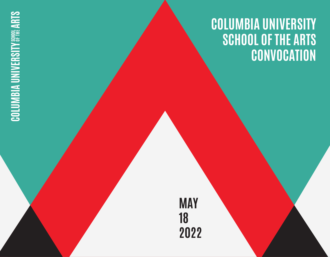# **COLUMBIA UNIVERSITY SCHOOL OF THE ARTS CONVOCATION**

**MAY 18 2022**

# **COLUMBIA UNIVERSITY SCHOOL ARTS**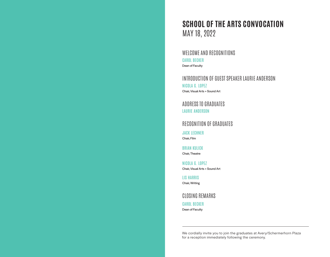# **SCHOOL OF THE ARTS CONVOCATION** MAY 18, 2022

WELCOME AND RECOGNITIONS CAROL BECKER Dean of Faculty

INTRODUCTION OF GUEST SPEAKER LAURIE ANDERSON NICOLA G. LOPEZ Chair, Visual Arts + Sound Art

ADDRESS TO GRADUATES LAURIE ANDERSON

RECOGNITION OF GRADUATES

JACK LECHNER Chair, Film

BRIAN KULICK Chair, Theatre

NICOLA G. LOPEZ Chair, Visual Arts + Sound Art

LIS HARRIS Chair, Writing

CLOSING REMARKS CAROL BECKER

Dean of Faculty

We cordially invite you to join the graduates at Avery/Schermerhorn Plaza for a reception immediately following the ceremony.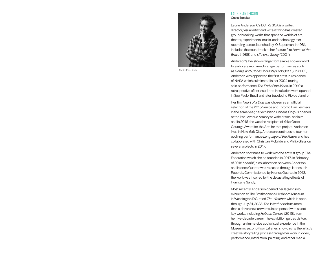

Photo: Ebru Yildiz

#### LAURIE ANDERSON Guest Speaker

Laurie Anderson '69 BC, '72 SOA is a writer, director, visual artist and vocalist who has created groundbreaking works that span the worlds of art, theater, experimental music, and technology. Her recording career, launched by 'O Superman' in 1981, includes the soundtrack to her feature film *Home of the Brave* (1986) and *Life on a String* (2001).

Anderson's live shows range from simple spoken word to elaborate multi-media stage performances such as *Songs and Stories for Moby Dick* (1999). In 2002, Anderson was appointed the first artist-in-residence of NASA which culminated in her 2004 touring solo performance *The End of the Moon*. In 2010 a retrospective of her visual and installation work opened in Sao Paulo, Brazil and later traveled to Rio de Janeiro.

Her film *Heart of a Dog* was chosen as an official selection of the 2015 Venice and Toronto Film Festivals. In the same year, her exhibition *Habeas Corpus* opened at the Park Avenue Armory to wide critical acclaim and in 2016 she was the recipient of Yoko Ono's Courage Award for the Arts for that project. Anderson lives in New York City. Anderson continues to tour her evolving performance *Language of the Future* and has collaborated with Christian McBride and Philip Glass on several projects in 2017.

Anderson continues to work with the activist group The Federation which she co-founded in 2017. In February of 2018 *Landfall*, a collaboration between Anderson and Kronos Quartet was released through Nonesuch Records. Commissioned by Kronos Quartet in 2013, the work was inspired by the devastating effects of Hurricane Sandy.

Most recently Anderson opened her largest solo exhibition at The Smithsonian's Hirshhorn Museum in Washington D.C. titled *The Weather* which is open through July 31, 2022. *The Weather* debuts more than a dozen new artworks, interspersed with select key works, including *Habeas Corpus* (2015), from her five-decade career. The exhibition guides visitors through an immersive audiovisual experience in the Museum's second-floor galleries, showcasing the artist's creative storytelling process through her work in video, performance, installation, painting, and other media.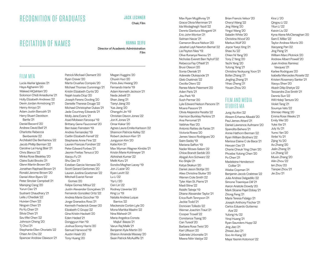# RECOGNITION OF GRADUATES

# RECITATION OF NAMES

#### JACK LECHNER

Chair, Film

HANNA SEIFU

Director of Academic Administration Film

#### FILM MFA

Lucía Aleñar Iglesias '21 Haya Alghanim '20 Waleed AlQahtani '20 Solomon Chidi Amadiume '21 Holly Elizabeth Andrews '22 Devin Jordan Armstrong '21 Henry Arroyo '21 Adam Justin Baroukh '21 Harry Stuart Davidson Bartle '21 Daniel Becerril '20 Andrew David Bell '21 Charlotte Rebecca Benbeniste '22 Archibald Elie Benhamou '22 Jacob Phillip Berman '22 Caroline Lai Hung Blair '21 Chris Blanco '22 Minka Rose Bleakley '20 Claire Sukii Brooks '21 Glenn Martin Brown '20 Jonathan Raphael Brown '21 Ronald Jerome Brown '20 Daniel Alton Byers '22 Peter Sinclair Campbell '21 Manqing Cang '20 Yurun Cao '21 Sushant Chaudhary '21 Leila J Chediak '22 Huixian Chen '22 Ningxin Chen '21 Po-Yu Chen '21 Silvia Chen '21 Szu-Wei Chen '22 Johnson Cheng '20 Tj Choi '21 Stephanie Ellen Choriatis '22 Chien An Chu '22 Spencer Andrew Clawson '21

Patrick Michael Clement '20 Ryan Craver '20 Marta Cruañas Compés '20 Michael Thomas Cummings '21 Kristin Elizabeth Curtis '20 Najah Issata Diop '20 Joseph Ferenc Dooling '20 Danielle Therese Douge '22 Michael Christopher Dukas '21 Jade Courtney Edwards '21 Molly Jane Evans '21 Asad Mobeen Farooqui '19 Brittany Gene Fauconnet '20 Ben Isaac Feinstein '19 Andres Fernandez '19 Caitlin Elizabeth Ferrell '22 Stephanie Anne Fine '22 Lauren Frances Fondren '22 Peter Edward Forbes '21 Jasmin Freitas Tenucci '20 Xiaoyu Fu '21 Shu Gao '21 Esteban Garcia Vernaza '20 Scott Gerard Gerlomes '20 Lauren Justine Goetzman '22 Mitchell Evarist Ferreir Gomes '20 Felipe Gomez Mitsui '22 Justin Alexander Gonçalves '21 Fernando González Ortiz '22 Andrea Marie Goocher '19 Jorge Granados Ross '21 Kenneth Frederick Green '20 Elizabeth C Grupp '22 Gina Kristin Hackett '20 Eden Hadad '21 Donggyun Han '19 Joshua Sonny Harris '20 Samuel Harwood '19 Austin Hsieh '20 Tony Huang '20

Megan Huggins '20 Chuxin Huo '20 Flora Jiwu Hwang '20 Fernando Iriarte '19 Adam Kenneth Jackson '21 Neda Jebelli '21 Shan Jiang '21 Tianyi Jiang '20 Yue Jiang '20 Chengzhi Jin '19 Christian Davon Jones '22 Jon K Jones '21 Omar Kakar '20 Agnes Laura Emilia Karlsson '22 Shannon Patricia Kelley '22 Robert Jackson Kerr '21 Jungyoon Kim '20 Katie Kim '21 Max Wyman Wagner Kimble '21 Kristin Marie Kohlmeyer '21 Abhishek Kumar '22 Melik Kuru '21 Sondra Meghan Lacey '19 Jon JL azar '20 Ryan Levitt '22 Lu Li '22 Yiyi Li '20 Cen Lin '22 Rodney Llaverias '20 King Lu '19 Natalia Andrea Luque Barrios '22 Mackenzie Corbin Lyle '20 Mona Martika Maahn '22 Nina Mahesh '21 Maria Angelica Consta Majluf Baeza '21 Varun Raj Malik '21 Benjamin Kyle Martin '20 Sharon Amanda Massey '20 Sean Patrick McAuliffe '21

Max Ryan Mcgillivray '21 Grace Olivia Merriman '21 Ida Modaghegh Yazdi '22 Dennis Gianluca Morganti '21 Eric John Morton '21 Selman Nacar '21 Cameron Bruce Nelson '20 Jesahel Layli Newton-Bernal '22 Lia Peyton Nies '19 Olive Ifunanya Nwosu '21 Nicholas Everett Barr Nyhof '22 Rebecca Fay O'Neill '21 Brusi Olason '20 Sonia Oleniak '21 Adewale Olukayode '21 Gleb Osatinski '22 Cecilia Otero '22 Renee Marie Paiement '20 Aden Paris '21 Jisu Park '19 Sush Parmar '20 Lyle Edward Nelson Parsons '21 Moara Passoni '21 Olivia Alejandra Peralta '22 Harrison Bunkley Perkins '21 Ana Perromat '21 Vaibhav Rao '20 Antonio Rattes de Farias '21 Victoria Rivera '20 James Vasco Rodrigues '20 Saim Sadiq '19 Mariana Saffon '19 Nader Moses Salem '22 Chloe Brandt Sarbib '20 Abigail Ann Schwarz '22 Kio Shijiki '21 Katya Skakun '20 Daniel Jason Slottje '20 Alies Christina Sluiter '20 Warren Cole Smith '22 Tyler Alan St. Pierre '21 Madi Stine '22 Riddhi Talreja '19 Dhane Alexander Taylor '21 Erica Ruth Tennyson '21 Jackie Todd '21 Donovan Tolledo '22 Werner Joachim Traut '21 Cooper Troxell '22 Constance Tsang '20 Can Turedi '20 Barbara Rose Twist '20 Kari Ulfsson '20 Gabriele Urbonaite '21 Meera Nitin Vaidya '22

Brian Francis Velsor '20 Cheryl Wang '22 Jing Wang '20 Yingzi Wang '20 Saladin White '20 Christina Wood '20 Markus Wulf '20 Joyce Yueyi Xing '21 Shae Xu '22 Chien Ni Yang '20 Tony Z Yang '20 Yachi Yang '20 Yutong Yang '21 Christina Yeokyung Yoon '21 Bofan Zhang '21 Jingling Zhang '21 Yihao Zheng '21 Yixuan Zhou '20

#### FILM AND MEDIA STUDIES MA

Jung Aa Ahn '22 Alreem Erhama Alkaabi '20 Paul James Attard '21 Daniel Lawrence Aufmann '20 Spandita Behera '21 Annie Hathorn Berman '22 Ryan William Brothers '22 Marissa Elaine C de Baca '21 Hexuan Cao '21 Cherie Cheuk Ying Chan '20 Phoebe Yutong Chen '20 Po Chen '21 Madeleine Henderson Collier '21 Wiebe Copman '21 Benjamin Jacob Crabtree '22 Julia Andrea Delgadillo '22 Simone Traenique Dill '21 Aaron Anatole Dowdy '20 Mark Sloane Pajel Ebbay '21 Zitong Feng '21 Maria Teresa Fidalgo '21 Joseph Anthony Fischer '21 Carlos Eduardo Gutierrez Aza '22 Yulong Hu '22 Yinqi Huang '21 Ryan Saunders Hupp '22 Jing Jiao '21 Zhiwei Jiao '21 Soo An Kang '22 Maya Yasmin Kotomori '22

Kira Li '20 Qingxu Li '22 Yilun Li '22 Kaixin Liu '22 Kyna Alene McClenaghan '20 Sam E Miller '22 Taylor Andrew Morris '20 Xiaoyang Pan '22 Jing Peng '21 William Marc Plotnick '20 Andrew Albert Powell '20 Juan Andres Ramirez Vasquez '21 Karlee Rodrigues '20 Isabella Mercedes Rosete '22 Kristen Rosemary Santer '21 Xiaoyu Shen '20 Akash Dilip Shetye '22 Tessandra Zoe Smith '21 Dennis Sun '22 Will Hideji Tamura '20 Violet Tang '21 Soumya Vats '22 Shimiao Wang '20 Emma Rose Weeks '21 Emily Wei '20 Yuke Xie '21 July Xu '21 Yumo Yan '20 Xinlei Yu '21 Zijing Yu '20 Ao Zhang '20 Jialin Zhang '21 Lin Zhang '22 Muxin Zhang '20 Ailin Zhou '22 Ian Zhou '20 Tianpei Zhou '21 Jie Zou '21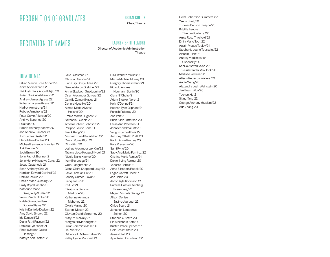# RECOGNITION OF GRADUATES

# RECITATION OF NAMES

# LAUREN BRITT-ELMORE

BRIAN KULICK Chair, Theatre

Director of Academic Administration **Theatre** 

#### THEATRE MFA

Gillian Marion Rose Abbott '22 Anita Abdinezhad '22 Zizi Azah Binte Abdul Majid '20 Julian Clark Abelskamp '22 Andrew James Agress '22 Roberta Lorene Ahrens '20 Hadley Armstrong '21 Robbie Armstrong '22 Peter Calvin Atkinson '20 Anrinya Banerjee '20 Lola Bao '20 Robert Anthony Barlow '20 Jon Andrew Bleicher '21 Tom James Blushi '22 Elana Marie Boulos '20 Michael Lawrence Brannian '22 A.A. Brenner '21 Josh Brown '20 John Patrick Brunner '21 John-Henry Hirozawa Carey '22 Josue Castaneda '21 Sean Anthony Chia '21 Harrison Edward Corthell '22 Damla Coskun '22 Cassie Marie Cushing '22 Emily Boyd Dahab '20 Katherine Marie Daugherty-Smillie '22 Velani Penda Dibba '20 Isaiah Oluwadamilare Dodo-Williams '22 Kristin Danielle Dodson '22 Amy Davis Eingold '22 Ida Esmaeili '22 Diana Fathi Rasgani '22

Danielle Lyn Feder '21 Rhodie Jordan Delise Fleming '22 Katelyn Ann Foster '22

Fiona Lily Gorry-Hines '22 Samuel Aaron Grabiner '21 Anne Elizabeth Guadagnino '22 Dylan Alexander Gurrera '22 Camille Zamani Hayes '21 Dennis Ngoc Ho '20 Aimee-Marie Alvarez Holland '20 Emma Morris Hughes '22 Nathaniel D Janis '22 Amelia Colleen Johnson '22 Philippa Louise Kane '20 Taeuk Kang '20 Michael Khalid Karadsheh '22 Devon Rome Kidd '21 Dimo Kim '20 Joshua Alexander Lak Kim '22 Tatiana Liese Kouguell-Hoell '21 Nicole Blake Kramer '20 Ikumi Kuronaga '21 Gulin Langbroek '22 Diana Claire Sheppard Levy '19 Lanie Lanxuan Liu '20 Johnny Grimes Lloyd '20 Jianqiao Lu '22 Iris Luo '21 Elizagrace Siobhan Madrone '20 Katherine Amanda Mahoney '22 Owala Maima '20 Everett Mason '22 Clayton David McInerney '20 Maryl M McNally '21 Morgan Ek McNaught '22 Julian Jeremias Mesri '20 Hal Miers '20 Rebecca L. Miller-Kratzer '22 Kelley Lynne Moncrief '21

Jake Glassman '21 Christian Goodie '20

Lila Elizabeth Mullins '22 Martin Michael Murray '20 Gregory Thomas Nanni '21 Ricardo Andres Neumann Bertin '20 Ciara Ní Chuirc '21 Adam Stockel North '21 Kelly O'Donnell '21 Keenan Tyler Oliphant '21 Rakesh Palisetty '22 Zhe Pan '22 Brian Allen Patterson '20 Laura Ann Peterson '20 Jennifer Andrea Pitt '20 Vaughn Jamaal Pole '22 Anthony Othello Pratt '20 Kaitlin Anne Premus '20 Kate Pressman '20 Sami Pyne '20 Saby Ana Maria Ramirez '22 Cristina Maria Ramos '21 Daniel Irving Rattner '20 Vanessa Rebeil '22 Anna Elizabeth Rebek '20 Logan Garrett Reed '21 Jon Robin '20 Jacob Kyle Robinson '21 Rafaella Cassie Steinberg Rosenberg '22 Megan Michele Savage '21 Alison Denise Savino-Jauregui '22 Chloe Seare '21 Jonathan Lambertus Seinen '20 Stephen C Smith '20 Pie Alexandra Soto '20 Kristen Imani Spencer '21 Cole Josset Stern '20 James Stull '20 Ayla Xuan Chi Sullivan '22

Colm Robertson Summers '22 Yeena Sung '20 Thomas Benson Swayne '20 Brigitte Lenore Thieme-Burdette '22 Anisa Rose Threlkeld '21 Emily Marie Todt '22 Austin Meads Tooley '21 Stephanie Jeane Toussaint '22 Alaudin Ullah '22 Andrey Vladimirovich Uspenskiy '20 Kanika Asavari Vaish '22 Titus Alexander VanHook '20 Merlixse Ventura '22 Allison Rebecca Walters '20 Annie Wang '20 Alexandra Leah Weinstein '20 Jae Beum Woo '20 Yuchen Xia '21 Siting Yang '22 George Anthony Youakim '22 Ada Zhang '20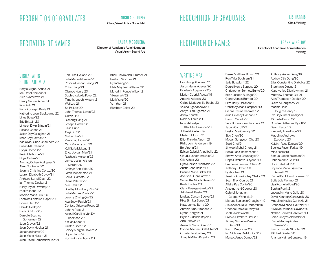# RECOGNITION OF GRADUATES

RECITATION OF NAMES

#### NICOLA G. LOPEZ Chair, Visual Arts + Sound Art

LAURA MOSQUERA

Visual Arts + Sound Art

Director of Academic Administration

# RECOGNITION OF GRADUATES

# RECITATION OF NAMES

#### **FRANK WINSIOW**

Director of Academic Administration Writing

#### VISUAL ARTS + SOUND ART MFA

Sergio Miguel Acuna '21 MD Rasel Ahmed '21 Aika Akhmetova '21 Henry Gabriel Anker '20 Roni Aviv '21 Patrick Joseph Bayly '21 Katherine Jean Blackburne '22 Linus Borgo '22 Eric Brittain '20 Lindsey Elwin Brittain '21 Rosana Caban '21 Julian Day Callaghan '21 Ivana Kay Carman '21 Kaela Mei-Chee Chambers '22 Susan M B Chen '20 Hyoju Cheon '22 Kevin Claiborne '21 Noga Cohen '21 Avishag Cohen Rodrigues '21 Alejo Contreras '22 Joanna Christina Cortez '20 Lauren Elizabeth Covey '21 Anthony Sertel Dean '22 Ian Thomas Decker '21 Hilary Taylor Devaney '22 Fadl Fakhouri '22 Monica Maria Felix '20 Fontaine Fontaine-Capel '20 Linnéa Gad '22 Camilo Godoy '22 Baris Gokturk '20 Danielle Beatrice Gottesman '22 Jacq Groves '22 Joan Devitt Hacker '21 Jonathan Harris '22 Jenn Marie Hassin '21 Juan David Hernandez Diaz '21

Erin Elise Holland '22 Julia Marie Jalowiec '22 Priscilla Hannah Jeong '21 Yi Fan Jiang '21 Clarece Koury '20 Sophie Isabella Kovel '22 Timothy Jacob Kwasny '21 Wai Lau '21 Sa-Ra Lee '20 John Thomas Levee '22 Xinran Li '22 Bicheng Liang '21 Joseph Liatela '22 Jialin Liu '22 Xinyi Liu '22 Yushan Liu '21 Paula Lou Lycan '20 Cara Marie Lynch '20 Keli Safia Maksud '21 Erica Joyuan Mao '21 Raphaela Melsohn '22 James Josiah Allston Mercer '20 Kathryn Ann Miller '20 Farah Mohammad '21 Keika Okamoto '22 Diana Palermo '21 Mimi Park '22 Bradley McGilvary Pitts '20 Júlia Martins Pontes '22 Jeremy Ziming Qin '22 Ava Snow Ravich '21 Denisse Griselda Reyes '21 John A Rivas '21 Abigail Caroline Van Dy Robinson '22 Yixuan Shao '21 Cristen Shea '22 Kelsey Morgan Shwetz '22 Stipan Tadic '20 Kiyomi Quinn Taylor '20

#### Khari Rahim Abdul Turner '21 Raelis R Vasquez '21 Ryan Wang '22 Elzie Mayfield Williams '22 Meredith Pence Wilson '21 Yixuan Wu '22 Mark Yang '20 Yuri Yuan '21 Elizabeth Zelter '22

### WRITING MFA

Lea Phung Aberlenc '21 Aaron Henry Aceves '20 Estefania Acquaviva '20 Mariah Caprial Adcox '19 Antonio Addessi '20 Celine Marie Aenlle-Rocha '22 Valeria Agababaeva '20 Aseye Ruth Agamah '21 Jenny Ahn '19 Nada Al-Fares '20 Nourah Evelyn Alfadl-Andreasson '20 Julian Kirk Allen '19 Maria T. Allocco '21 Elliot Franklin Alpern '21 Philip John Anderson '19 Ber Anena '21 Edison Gabriel Angelbello '22 Claudia Janeth Arevalo '22 Gila Ashtor '20 Ryan Neilson Avanzado '22 Austin John Baker '19 Brianne Marie Baker '20 Jackson Gunn Barrett '19 Samantha Nicole Barron '21 Kayla Bartee '20 Clara Baselga-Garriga '21 Jai Hamid Bashir '20 Lindsay Carson Becker '21 Kiley Brinker Bense '21 Natty James Berry '20 Antonia Blue-Hitchens '22 Synne Borgen '21 Brysen Orlando Boyd '20 Arthur Boyle '21 Amanda Marie Breen '21 Sophie Michael Brett-Chin '21 Ottavia Jessica Brey '20 Joseph Milton Brogdon '20

Derek Matthew Brown '20 Ron-Tyler Budhram '21 Julia Burgdorff '22 Daniel Henry Burgess '20 Christopher Sennott Burke '20 Brian Joseph Burlage '20 Conor James Burnett '20 Eliza Barry Callahan '22 Courtney Jean Campbell '19 Siena Cristina Canales '22 Julia Delaney Cannon '21 Franco Caputo '21 Vera Bocalandro Carothers '21 Jacob Carroll '22 Leyton Mia Cassidy '22 Siyu Chen '20 Megan Sungyoon Cho '20 Sooji Choi '21 Jinwoo Michal Chong '21 Sonia Rae Christensen '20 Shawn Anto Chundagal '21 Hope Elizabeth Claydon '19 Emmeline Lemann Clein '22 Anthony Cohen '20 Eyal Cohen '21 Jessica Anne Colley Clarke '20 Sean Thor Conroe '21 Allaire Rae Conte '20 Antoinette N Cooper '20 Gabriel Jonathan Cooper-Winnick '21 Marcus Benjamin Creaghan '19 Alexander Drake Dabertin '19 Chenee Danielle Daley '19 Yael Davidesko '19 Brooke Elizabeth Davis '22 Tiffany Michelle-Maxine Davis '19 Ramzi De Coster '20 Ian Nicholas De Monico '20

Margot Janae Demus '22

Anthony Anrao Deng '19 Audrey Cijia Deng '20 Elias Constantine Diakolios '22 Stephanie Dinsae '21 Kage Athlee Dipale-Amani '21 Matthew Thomas Dix '21 Adin Thompson Dobkin '20 Claire A Dougherty '21 Matilda Rose Douglas-Henry '19 Eva Sojourner Dunsky '21 Michelle Duron '22 Charlee Catherine Dyroff '20 Dawn Elardo '19 Kimberly Anne Ence '21 Madeline Andrews Escudero '20 Kaitlinn Rose Estevez '20 Beckett Raven Farkas '19 Mina Fears '19 Samuel Jacob Feldman '21 Rebeca Anne Felix '19 Flora Kate Field '22 Shyanne Maria Figueroa Bennett '21 Rachel Pauli Finn-Lohmann '21 Sofia Lola Florimbi '21 Lisa Rochelle Foad '20 Sophia Frank '21 Jacquelyn Marie Gallo '20 David Kenneth Garczynski '20 Madeline Hayley Garfinkle '21 Brendan Michael Gauthier '19 Ellyn McCormack Gaydos '19 Nathan Edward Gazebien '19 Sarah Gheyas Alawadhi '21 Rachel Audrey-Galina Gilman '20 Emma Victoria Ginader '20

Mitchell Glazier '20 Ananda Naima Gonzalez '19

#### LIS HARRIS Chair, Writing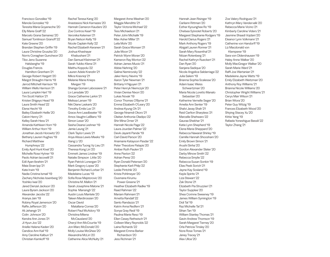Francisco González '19 Manola Gonzalez '19 Teresita Maria Goyeneche '20 Elly Marie Graff '22 Marcelo Grana Samanez '20 Samuel Tomlinson Granoff '22 Kate Greene '20 Brandan Stephen Griffin '19 Laura Christine Gruszka '20 Norris Conaghan Guncheon '20 Tibo Jeno Suzanne

 Halsberghe '19 Douglas Francis Hamilton-Grenham '21 George Robert Hargett '20 Margot Straughn Harris '19 Jarrod Mitchell Harrison '19 William Wells Harrison '21 Laura Lumpkin Hart '19 Tim Scott Hatton '21 Kristen Shigeyo Head '19 Laura Smith Head '22 Elena Hecht '19 Bailey Elizabeth Heille '20 Calvin Henry '21 Kelley Sarah Hess '21 Amanda Kathleen Horn '19 William Arthur Horn '19 Jonathan Jacob Horowitz '20 Bethany Lauren Hughes '19 Richard Matthew

 Humphreys '22 Emily April Hunt Kivel '20 Michelle Rose Hytner '19 Paolo Adrian Iacovelli '21 Edil Ayan Ibrahim '21 Maia Sivan Ipp '21 Kate Irwin '19 Nadia Cristina Ismail '19 Zachary Nicholas Issenberg '20 Yoshiko Iwai '20 Jared Denzel Jackson '20 Laura Byram Jackson '20 Alexander Jacobs '22 Aranya Jain '19 Robiny Royal Jamerson '20 Raffe Jefferson '20 Ali Jehangir '21 Colin Johnson '20 Kendra Ann Jones '21 Ji Hyun Joo '22 Arielle Helene Kaden '20 Candice Ann Kail '19 Amy Caroline Kalbun '21 Christian Kamkoff '19

Rachel Teresa Kang '20 Anastasios Nick Karnazes '20 Hannah Cameron Kauders '20 Zoe Contros Kearl '19 Veronika Kelemen '21 Bryan Nelson Kelly '19 Nicole Caplain Kelly '22 Rachel Elizabeth Keranen '21 Joshua Khashayar Khabushani '21 Dan Samuel Kleinman '21 Sarah Yukiko Klena '21 Maithu Koppolu '22 Lauren Adele Kranzlin '21 Mikra Krasniqi '21 Melanie Marie Krieps Mergen '19 Shanga Goman Labossiere '21 Liv Lansdale '20 Grace Catherine Larkin '21 Melissa Larsen '19 Niki Diane Laskaris '20 Timothy Emile Lax '21 Grace Ann Leadbeater '19 Amos Vaughn LeBlanc '19 Simon Leser '20 Sasha Deana Leshner '19 Jamie Leung '21 Clark Taylor Lewis '21 Anya Alissa Lewis-Meeks '19 Xiang Li '20 Cassandra Tuong Vy Lieu '21 Theresa Kong Lin '20 Emmett James Lindner '19 Natalie Simpson Little '20 Ryan Patrick Lonergan '21 Mark Gregory Lopez '20 Benjamin Richard Lorber '21 Madelaine Lucas '19 Sofia Rose Majstorovic '20 Christine M. Mallon '21 Sarah Josephine Malone '21 Sophia Mansingh '22 Austin Louis Mantele '20 Taleen Mardirossian '20 Oscar David Matallana-Correa '20 Robert Paul McAdory '19 Christina Milena McCausland '20 Cheryl Ann McCourtie '19 Jon-Marc McDonald '20 Molly Louise McGhee '20 Alexandria McLin '20

Catherine Alice McNulty '21

Margaret Anne Meehan '20 Maggie Menditto '21 Taylor Victoria Michael '22 Tess Michaelson '21 Peter John Michalik '19 Max Asher Miller '21 Leila Mohr '20 Sarah Grace Monsen '21 Julie Moon '21 Patrick Wynn Moran '20 Kameron Ray Morton '22 Adrian James Muoio '21 Abbie Nehring '20 Galina Nemirovsky '22 Jake Henry Nevins '19 Aaron Tyler Newman '21 Brittany H Nguyen '21 Peter Henryk Niemczyk '20 Vivian Denise Nixon '20 Lukas Novak '19 Conor Thomas O'Byrne '21 Emma Elizabeth O'Leary '20 Andrea Kyung Oh '21 George Nnamdi Okoro '21 Olaitan Anthonia Oladipo '22 Shir Mina Orner '21 Hannah Nicole Page '22 Laura Jourdan Palmer '22 Devki Jayanti Pande '19 Carl-David Parson '20 Anamarie Katayoon Pasdar '22 Peter Theodore Patapis '20 Amber Ruth Paulen '21 Anne Paxton '22 Adrian Perez '20 Ryan Donald Petersen '20 Stephanie Karli Philp '22 Leslie Pintchik '20 Krista Pohlmeyer '20 Ousmane Kirumu Power-Greene '21 Heather Elizabeth Radke '19 Raad Rahman '22 Mariam Rahmani '21 Arnetta Randall '22 Santo Randazzo '21 Katrin Anna Redfern '21 Sonya Gray Redi '19 Paulina Marie Reso '19 Ellen Casey Rethwisch '21 Colleen Mary Reynolds '22 Laina Richards '22 Margaret Emma Barker Richardson '20 Jess Richman '21

Hannah Jean Risinger '19 Carliann Rittman '20 Esther Kyounghee Ro '19 Chelsea Sylviolet Roberts '20 Margaret Stephanie Rodgers '19 Harold Darius Rogers '21 Mark Anthony Rogers '19 Abigail Lauren Ronner '21 Sarah Mary Rosenthal '21 Nitzan Rotenberg '21 Rachel Kathryn Rueckert '21 Dan Ryan '20 Sanjana Sadique '20 Nicole Angelica Saldarriaga '22 Julia Salem '19 Brianna Sophia Scalesse '20 Adam Isaac Weiss Schwartzman '20 Maria Nicola Loretto Manalo Sebastian '20 Katherine Vernelle Seger '20 Amelia Ann Senter '19 Shalvi Jaxay Shah '21 Reid Carlton Sharpless '21 Marcelle Shehwaro '22 Gauraa Shekhar '21 Katie Lynn Shepherd '19 Elena Maria Sheppard '20 Rebecca Nawarat Shirley '19 Camille Hannah Shooshani '20 Emily Brown Simon '21 Arushi Sinha '20 Gordon Alexander Slater '20 Darby Minow Smith '22 Rebecca Smylie '22 Rebecca Susan Sonkin '19 Elias Peek Sorich '21 Jayne Kay Sosland '19 Kayla Spirito '21 Liza Stewart '22 Zak Stone '21 Elizabeth Pia Struzzieri '21 Taylor Supplee '20 Shea Corinne Sweeney '19 James William Symington '19 Didi Tal '19 Raz Michelle Tal '21 Sihan Tan '19 William Stanley Thomas '21 Gavin Andrew Thomson '19 Sarah Margaret Tierney '20 Orla Patricia Tinsley '20 Nora Rose Tomas '21 Janey Tracey '21 Alex Ulloa '20

Zoe Valery Rodriguez '21 Kathryn Mary Vandervalk '20 Rebecca Marie Vicino '21 Kimberly Caroline Viders '21 Jasmine Shaadi Vojdani '20 Eleanor Lynn Volkmann '21 Catherine von Handorff '19 Liz Macdonald von Klemperer '19 Sara von Oldershausen '19 Haley Anne Walker '20 Molly MacGregor Walker '20 Sarah Marie Ward '21 Raffi Joe Wartanian '21 Madeleine Jayne Watts '19 Emily Elizabeth Weitzman '20 Anthony Roy Williams '21 Brianna Nicole Williams '20 Christopher Wright Williams '21 Cerys Mair Wilson '21 Brian Wiora '20 Peter Guy Witzig '19 Frances Elizabeth Wood '20 Shiying Stacey Xu '20 Kittie Yang '19 Rafaela Yoneshigue Bassili '22 Taylor Zhang '21